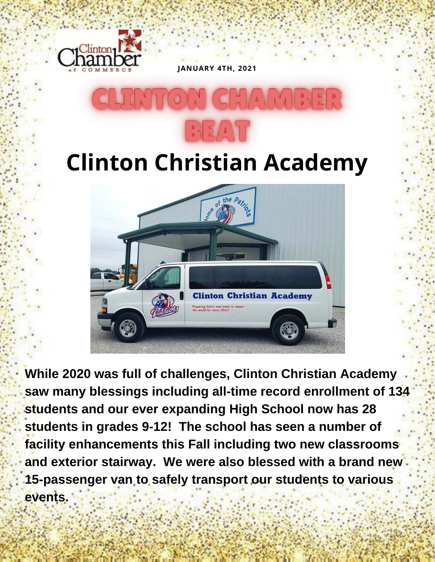

**JANUARY 4TH, 2021**

## **Clinton Christian Academy**



**While 2020 was full of challenges, Clinton Christian Academy saw many blessings including all-time record enrollment of 134 students and our ever expanding High School now has 28 students in grades 9-12! The school has seen a number of facility enhancements this Fall including two new classrooms and exterior stairway. We were also blessed with a brand new 15-passenger van to safely transport our students to various events.**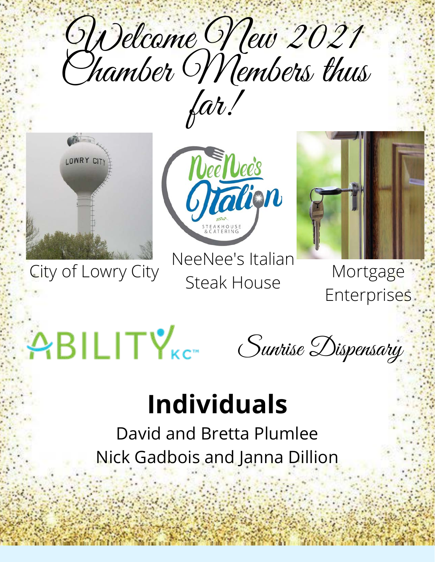Welcome New 2021 far!



City of Lowry City TreeTree's Ruiluin Mortgage



NeeNee's Italian Steak House



**Enterprises** 

# $ABILITY$

Sunrise Dispensary

## **Individuals**

David and Bretta Plumlee Nick Gadbois and Janna Dillion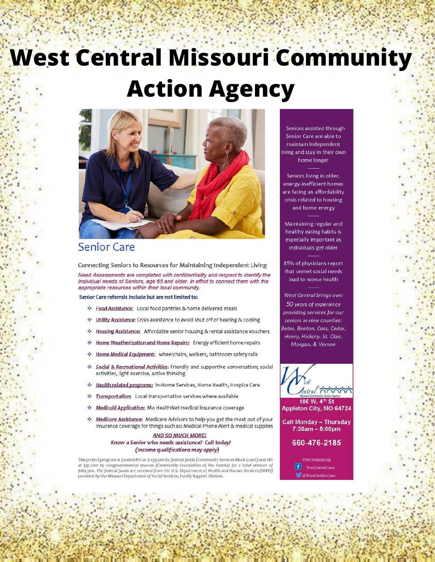## **West Central Missouri Community Action Agency**



### **Senior Care**

Connecting Seniors to Resources for Maintaining Independent Living

Need Assessments are completed with confidentiality and respect to identify the individual needs of Seniors, age 65 and older, in effort to connect them with the appropriate resources within their local community.

Senior Care referrals include but are not limited to:

- \* Food Assistance: Local food pantries & home delivered meals
- Utility Assistance: Crisis assistance to avoid shut off of heating & cooling
- \* Housing Assistance: Affordable senior housing & rental assistance vouchers
- \* Home Weatherization and Home Repairs: Energy efficient home repairs
- \* Home Medical Equipment: wheelchairs, walkers, bathroom safety rails
- Social & Recreational Activities: Friendly and supportive conversation; social ÷ activities, light exercise, active thinking
- Health related programs: In-Home Services, Home Health, Hospice Care
- Transportation: Local transportation services where available  $\sigma_{\rm eff}^2$
- Medicaid Application: Mo HealthNet medical insurance coverage
- $\sigma_{\rm e}^2$ Medicare Assistance: Medicare Advisors to help you get the most out of your insurance coverage for things such as: Medical Phone Alert & medical supplies

#### **AND SO MUCH MORE!** Know a Senior who needs assistance? Call today! (Income qualifications may apply)

This project/program is funded 82% at \$ 139,500 by federal funds (Community Services Block Grant) and 18% at \$30,000 by nongovernmental sources (Community Foundation of the Ozarks) for a total amount of<br>\$169,500. The federal funds are received from the U.S. Department of Health and Human Services (DHHS) provided by the Missouri Department of Social Services, Family Support Division.

Seniors assisted through Senior Care are able to maintain independent living and stay in their own home longer

Seniors living in older, energy-inefficient homes are facing an affordability crisis related to housing and home energy

Maintaining regular and healthy eating habits is especially important as individuals get older

85% of physicians report that unmet social needs lead to worse health

**West Central brings over** 50 years of experience providing services for our seniors in nine counties: Bates, Benton, Cass, Cedar, Henry, Hickory, St. Clair, Morgan, & Vernon



106 W. 4th St Appleton City, MO 64724

**Call Monday - Thursday** 7:30am - 5:00pm

660-476-2185

ww.wemcaa.org WestCentralCares WestCentMoCo